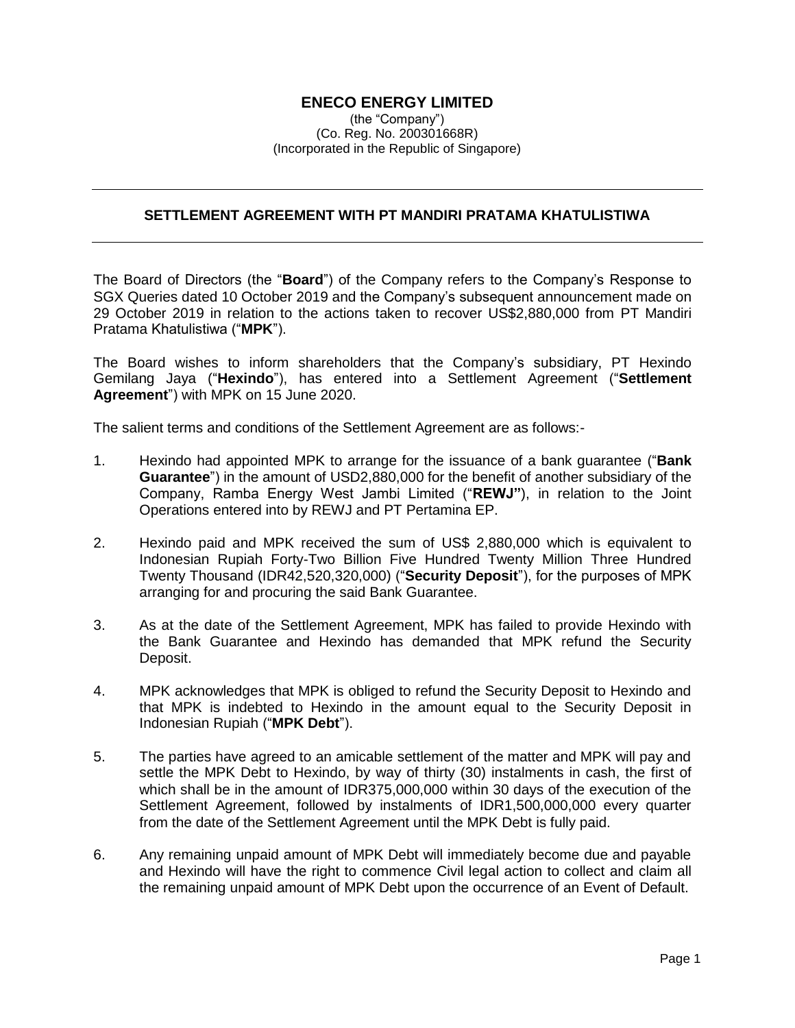## **ENECO ENERGY LIMITED**

(the "Company") (Co. Reg. No. 200301668R) (Incorporated in the Republic of Singapore)

## **SETTLEMENT AGREEMENT WITH PT MANDIRI PRATAMA KHATULISTIWA**

The Board of Directors (the "**Board**") of the Company refers to the Company's Response to SGX Queries dated 10 October 2019 and the Company's subsequent announcement made on 29 October 2019 in relation to the actions taken to recover US\$2,880,000 from PT Mandiri Pratama Khatulistiwa ("**MPK**").

The Board wishes to inform shareholders that the Company's subsidiary, PT Hexindo Gemilang Jaya ("**Hexindo**"), has entered into a Settlement Agreement ("**Settlement Agreement**") with MPK on 15 June 2020.

The salient terms and conditions of the Settlement Agreement are as follows:-

- 1. Hexindo had appointed MPK to arrange for the issuance of a bank guarantee ("**Bank Guarantee**") in the amount of USD2,880,000 for the benefit of another subsidiary of the Company, Ramba Energy West Jambi Limited ("**REWJ"**), in relation to the Joint Operations entered into by REWJ and PT Pertamina EP.
- 2. Hexindo paid and MPK received the sum of US\$ 2,880,000 which is equivalent to Indonesian Rupiah Forty-Two Billion Five Hundred Twenty Million Three Hundred Twenty Thousand (IDR42,520,320,000) ("**Security Deposit**"), for the purposes of MPK arranging for and procuring the said Bank Guarantee.
- 3. As at the date of the Settlement Agreement, MPK has failed to provide Hexindo with the Bank Guarantee and Hexindo has demanded that MPK refund the Security Deposit.
- 4. MPK acknowledges that MPK is obliged to refund the Security Deposit to Hexindo and that MPK is indebted to Hexindo in the amount equal to the Security Deposit in Indonesian Rupiah ("**MPK Debt**").
- 5. The parties have agreed to an amicable settlement of the matter and MPK will pay and settle the MPK Debt to Hexindo, by way of thirty (30) instalments in cash, the first of which shall be in the amount of IDR375,000,000 within 30 days of the execution of the Settlement Agreement, followed by instalments of IDR1,500,000,000 every quarter from the date of the Settlement Agreement until the MPK Debt is fully paid.
- 6. Any remaining unpaid amount of MPK Debt will immediately become due and payable and Hexindo will have the right to commence Civil legal action to collect and claim all the remaining unpaid amount of MPK Debt upon the occurrence of an Event of Default.